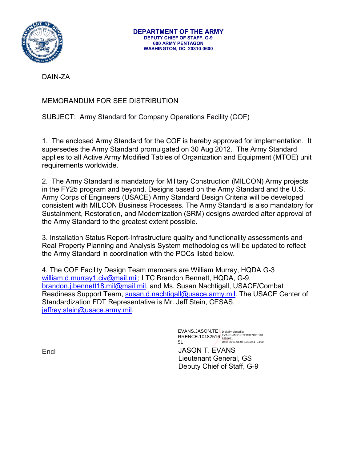

DAIN-ZA

## MEMORANDUM FOR SEE DISTRIBUTION

SUBJECT: Army Standard for Company Operations Facility (COF)

1. The enclosed Army Standard for the COF is hereby approved for implementation. It supersedes the Army Standard promulgated on 30 Aug 2012. The Army Standard applies to all Active Army Modified Tables of Organization and Equipment (MTOE) unit requirements worldwide.

2. The Army Standard is mandatory for Military Construction (MILCON) Army projects in the FY25 program and beyond. Designs based on the Army Standard and the U.S. Army Corps of Engineers (USACE) Army Standard Design Criteria will be developed consistent with MILCON Business Processes. The Army Standard is also mandatory for Sustainment, Restoration, and Modernization (SRM) designs awarded after approval of the Army Standard to the greatest extent possible.

3. Installation Status Report-Infrastructure quality and functionality assessments and Real Property Planning and Analysis System methodologies will be updated to reflect the Army Standard in coordination with the POCs listed below.

4. The COF Facility Design Team members are William Murray, HQDA G-3 [william.d.murray1.civ@mail.mil;](mailto:william.d.murray1.civ@mail.mil) LTC Brandon Bennett, HQDA, G-9, [brandon.j.bennett18.mil@mail.mil,](mailto:brandon.j.bennett18.mil@mail.mil) and Ms. Susan Nachtigall, USACE/Combat Readiness Support Team, [susan.d.nachtigall@usace.army.mil.](mailto:susan.d.nachtigall@usace.army.mil) The USACE Center of Standardization FDT Representative is Mr. Jeff Stein, CESAS, [jeffrey.stein@usace.army.mil.](mailto:jeffrey.stein@usace.army.mil)

> EVANS.JASON.TE RRENCE.10182516 51 Digitally signed by EVANS.JASON.TERRENCE.101 8251651 Date: 2021.06.04 16:16:41 -04'00'

JASON T. EVANS Lieutenant General, GS Deputy Chief of Staff, G-9

**Encl**